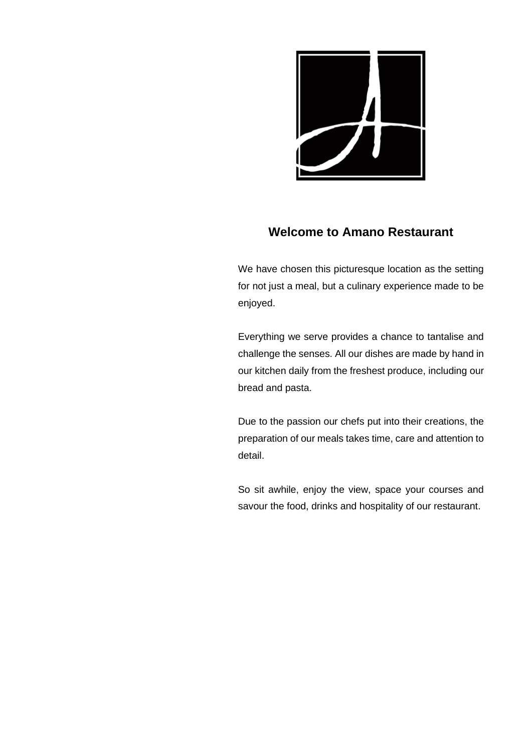

## **Welcome to Amano Restaurant**

We have chosen this picturesque location as the setting for not just a meal, but a culinary experience made to be enjoyed.

Everything we serve provides a chance to tantalise and challenge the senses. All our dishes are made by hand in our kitchen daily from the freshest produce, including our bread and pasta.

Due to the passion our chefs put into their creations, the preparation of our meals takes time, care and attention to detail.

So sit awhile, enjoy the view, space your courses and savour the food, drinks and hospitality of our restaurant.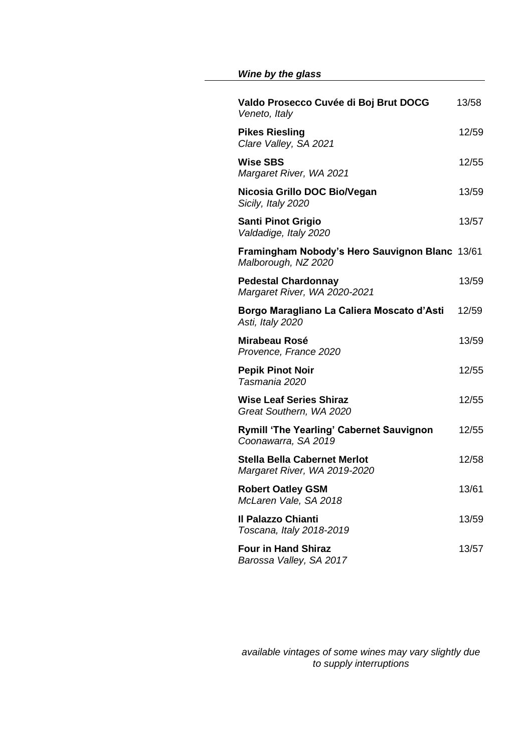## *Wine by the glass*

| Valdo Prosecco Cuvée di Boj Brut DOCG<br>Veneto, Italy                 | 13/58 |
|------------------------------------------------------------------------|-------|
| <b>Pikes Riesling</b><br>Clare Valley, SA 2021                         | 12/59 |
| <b>Wise SBS</b><br>Margaret River, WA 2021                             | 12/55 |
| Nicosia Grillo DOC Bio/Vegan<br>Sicily, Italy 2020                     | 13/59 |
| <b>Santi Pinot Grigio</b><br>Valdadige, Italy 2020                     | 13/57 |
| Framingham Nobody's Hero Sauvignon Blanc 13/61<br>Malborough, NZ 2020  |       |
| <b>Pedestal Chardonnay</b><br>Margaret River, WA 2020-2021             | 13/59 |
| Borgo Maragliano La Caliera Moscato d'Asti<br>Asti, Italy 2020         | 12/59 |
| Mirabeau Rosé<br>Provence, France 2020                                 | 13/59 |
| <b>Pepik Pinot Noir</b><br>Tasmania 2020                               | 12/55 |
| <b>Wise Leaf Series Shiraz</b><br>Great Southern, WA 2020              | 12/55 |
| <b>Rymill 'The Yearling' Cabernet Sauvignon</b><br>Coonawarra, SA 2019 | 12/55 |
| <b>Stella Bella Cabernet Merlot</b><br>Margaret River, WA 2019-2020    | 12/58 |
| <b>Robert Oatley GSM</b><br>McLaren Vale, SA 2018                      | 13/61 |
| <b>Il Palazzo Chianti</b><br>Toscana, Italy 2018-2019                  | 13/59 |
| <b>Four in Hand Shiraz</b><br>Barossa Valley, SA 2017                  | 13/57 |

*available vintages of some wines may vary slightly due to supply interruptions*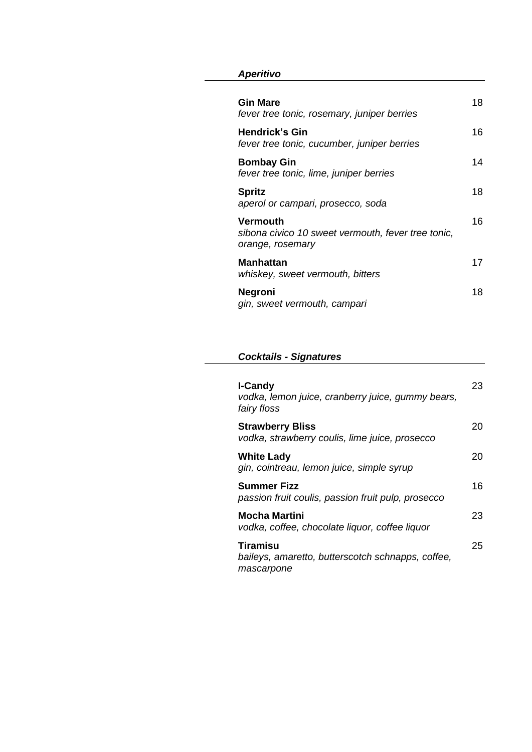#### *Aperitivo*

| <b>Gin Mare</b><br>fever tree tonic, rosemary, juniper berries                     | 18 |
|------------------------------------------------------------------------------------|----|
| <b>Hendrick's Gin</b><br>fever tree tonic, cucumber, juniper berries               | 16 |
| <b>Bombay Gin</b><br>fever tree tonic, lime, juniper berries                       | 14 |
| <b>Spritz</b><br>aperol or campari, prosecco, soda                                 | 18 |
| Vermouth<br>sibona civico 10 sweet vermouth, fever tree tonic,<br>orange, rosemary | 16 |
| Manhattan<br>whiskey, sweet vermouth, bitters                                      | 17 |
| <b>Negroni</b><br>gin, sweet vermouth, campari                                     | 18 |

#### *Cocktails - Signatures*

| <b>I-Candy</b><br>vodka, lemon juice, cranberry juice, gummy bears,<br>fairy floss | 23  |
|------------------------------------------------------------------------------------|-----|
| <b>Strawberry Bliss</b><br>vodka, strawberry coulis, lime juice, prosecco          | 20  |
| <b>White Lady</b><br>gin, cointreau, lemon juice, simple syrup                     | 20  |
| <b>Summer Fizz</b><br>passion fruit coulis, passion fruit pulp, prosecco           | 16  |
| Mocha Martini<br>vodka, coffee, chocolate liquor, coffee liquor                    | 23. |
| Tiramisu<br>baileys, amaretto, butterscotch schnapps, coffee,<br>mascarpone        | 25  |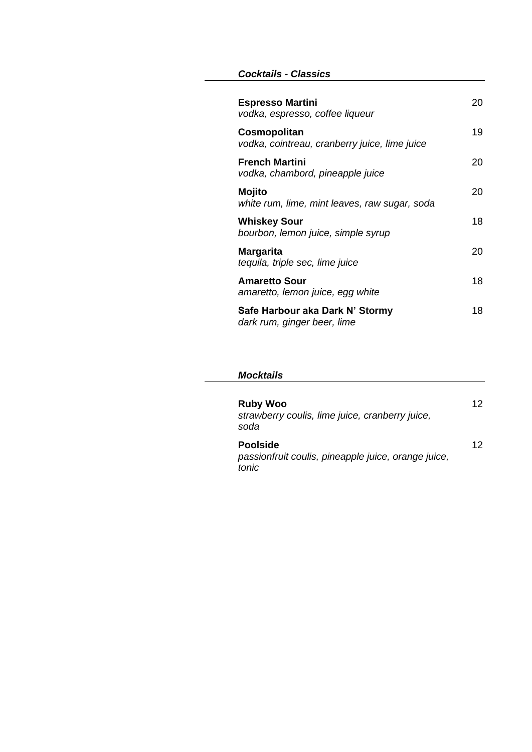#### *Cocktails - Classics*

| <b>Espresso Martini</b><br>vodka, espresso, coffee liqueur     | 20 |
|----------------------------------------------------------------|----|
| Cosmopolitan<br>vodka, cointreau, cranberry juice, lime juice  | 19 |
| <b>French Martini</b><br>vodka, chambord, pineapple juice      | 20 |
| Mojito<br>white rum, lime, mint leaves, raw sugar, soda        | 20 |
| <b>Whiskey Sour</b><br>bourbon, lemon juice, simple syrup      | 18 |
| Margarita<br>tequila, triple sec, lime juice                   | 20 |
| <b>Amaretto Sour</b><br>amaretto, lemon juice, egg white       | 18 |
| Safe Harbour aka Dark N' Stormy<br>dark rum, ginger beer, lime | 18 |

#### *Mocktails*

| <b>Ruby Woo</b><br>strawberry coulis, lime juice, cranberry juice,<br>soda      | 12 |
|---------------------------------------------------------------------------------|----|
| <b>Poolside</b><br>passionfruit coulis, pineapple juice, orange juice,<br>tonic | 12 |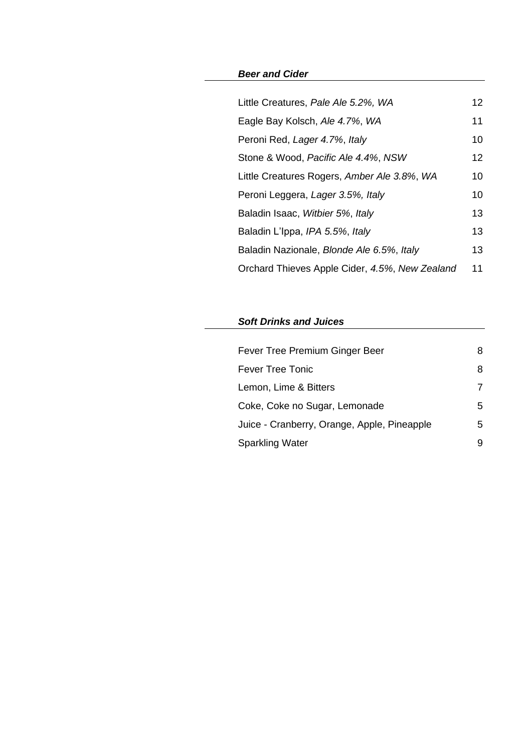#### *Beer and Cider*

| Little Creatures, Pale Ale 5.2%, WA            | 12 |
|------------------------------------------------|----|
| Eagle Bay Kolsch, Ale 4.7%, WA                 | 11 |
| Peroni Red, Lager 4.7%, Italy                  | 10 |
| Stone & Wood, Pacific Ale 4.4%, NSW            | 12 |
| Little Creatures Rogers, Amber Ale 3.8%, WA    | 10 |
| Peroni Leggera, Lager 3.5%, Italy              | 10 |
| Baladin Isaac, Witbier 5%, Italy               | 13 |
| Baladin L'Ippa, IPA 5.5%, Italy                | 13 |
| Baladin Nazionale, Blonde Ale 6.5%, Italy      | 13 |
| Orchard Thieves Apple Cider, 4.5%, New Zealand | 11 |

## *Soft Drinks and Juices*

| Fever Tree Premium Ginger Beer              | 8 |
|---------------------------------------------|---|
| <b>Fever Tree Tonic</b>                     | 8 |
| Lemon, Lime & Bitters                       | 7 |
| Coke, Coke no Sugar, Lemonade               | 5 |
| Juice - Cranberry, Orange, Apple, Pineapple | 5 |
| <b>Sparkling Water</b>                      | 9 |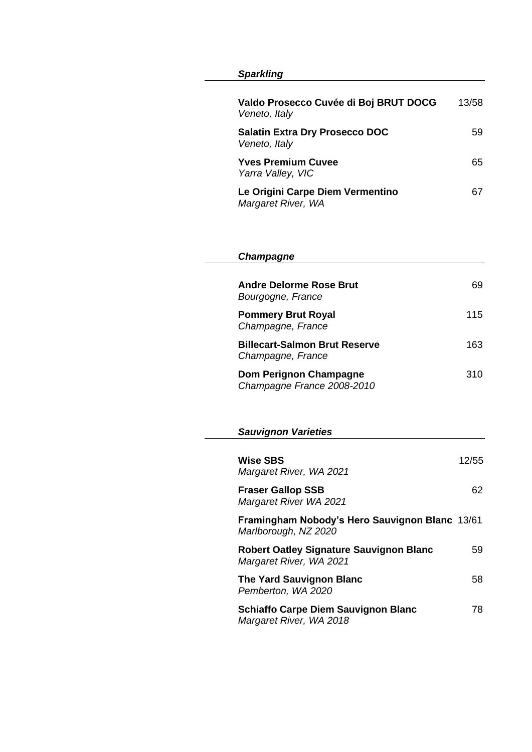# *Sparkling*

| Valdo Prosecco Cuvée di Boj BRUT DOCG<br>Veneto, Italy | 13/58 |
|--------------------------------------------------------|-------|
| <b>Salatin Extra Dry Prosecco DOC</b><br>Veneto, Italy | 59.   |
| <b>Yves Premium Cuvee</b><br>Yarra Valley, VIC         | 65.   |
| Le Origini Carpe Diem Vermentino<br>Margaret River, WA | 67.   |

| Champagne                                                                 |       |
|---------------------------------------------------------------------------|-------|
|                                                                           |       |
| <b>Andre Delorme Rose Brut</b><br>Bourgogne, France                       | 69    |
| <b>Pommery Brut Royal</b><br>Champagne, France                            | 115   |
| <b>Billecart-Salmon Brut Reserve</b><br>Champagne, France                 | 163   |
| <b>Dom Perignon Champagne</b><br>Champagne France 2008-2010               | 310   |
|                                                                           |       |
| <b>Sauvignon Varieties</b>                                                |       |
|                                                                           |       |
| <b>Wise SBS</b><br>Margaret River, WA 2021                                | 12/55 |
| <b>Fraser Gallop SSB</b><br>Margaret River WA 2021                        | 62    |
| Framingham Nobody's Hero Sauvignon Blanc 13/61<br>Marlborough, NZ 2020    |       |
| <b>Robert Oatley Signature Sauvignon Blanc</b><br>Margaret River, WA 2021 | 59    |
| <b>The Yard Sauvignon Blanc</b><br>Pemberton, WA 2020                     | 58    |
| <b>Schiaffo Carpe Diem Sauvignon Blanc</b>                                | 78    |

*Margaret River, WA 2018*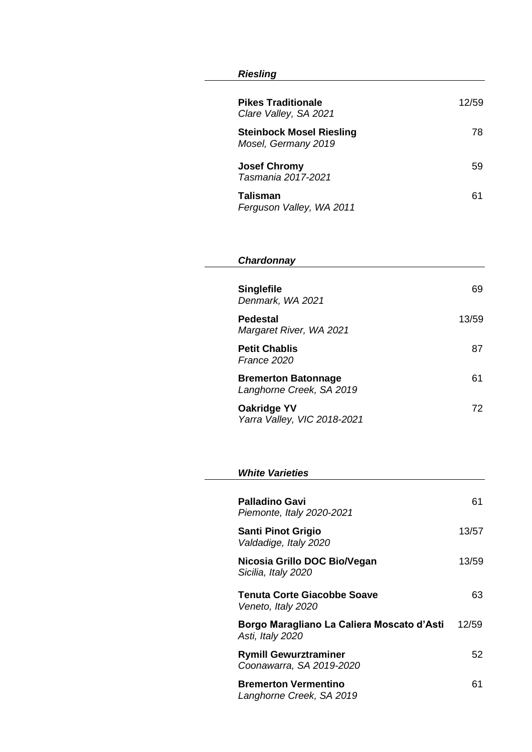### *Riesling*

| <b>Pikes Traditionale</b><br>Clare Valley, SA 2021     | 12/59 |
|--------------------------------------------------------|-------|
| <b>Steinbock Mosel Riesling</b><br>Mosel, Germany 2019 | 78    |
| <b>Josef Chromy</b><br>Tasmania 2017-2021              | 59    |
| <b>Talisman</b><br>Ferguson Valley, WA 2011            | 61    |

## *Chardonnay*

| <b>Singlefile</b><br>Denmark, WA 2021                  | 69    |
|--------------------------------------------------------|-------|
| <b>Pedestal</b><br>Margaret River, WA 2021             | 13/59 |
| <b>Petit Chablis</b><br>France 2020                    | 87    |
| <b>Bremerton Batonnage</b><br>Langhorne Creek, SA 2019 | 61    |
| <b>Oakridge YV</b><br>Yarra Valley, VIC 2018-2021      | 72    |

#### *White Varieties*

| Palladino Gavi<br>Piemonte, Italy 2020-2021                    | 61    |
|----------------------------------------------------------------|-------|
| <b>Santi Pinot Grigio</b><br>Valdadige, Italy 2020             | 13/57 |
| Nicosia Grillo DOC Bio/Vegan<br>Sicilia, Italy 2020            | 13/59 |
| Tenuta Corte Giacobbe Soave<br>Veneto, Italy 2020              | 63    |
| Borgo Maragliano La Caliera Moscato d'Asti<br>Asti, Italy 2020 | 12/59 |
| <b>Rymill Gewurztraminer</b><br>Coonawarra, SA 2019-2020       | 52    |
| <b>Bremerton Vermentino</b><br>Langhorne Creek, SA 2019        | 61    |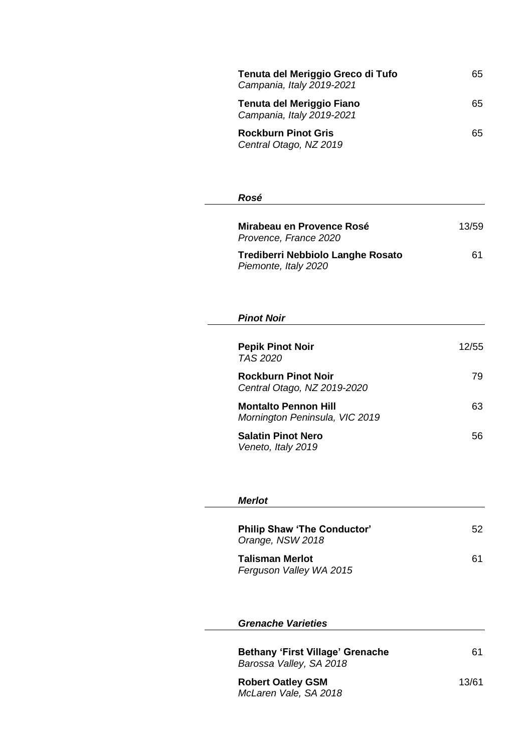| Tenuta del Meriggio Greco di Tufo<br>Campania, Italy 2019-2021 | 65 |
|----------------------------------------------------------------|----|
| Tenuta del Meriggio Fiano<br>Campania, Italy 2019-2021         | 65 |
| <b>Rockburn Pinot Gris</b><br>Central Otago, NZ 2019           | 65 |

## *Rosé*

| Mirabeau en Provence Rosé<br>Provence, France 2020               | 13/59 |
|------------------------------------------------------------------|-------|
| <b>Trediberri Nebbiolo Langhe Rosato</b><br>Piemonte, Italy 2020 | 61    |

## *Pinot Noir*

| <b>Pepik Pinot Noir</b><br>TAS 2020                           | 12/55 |
|---------------------------------------------------------------|-------|
| <b>Rockburn Pinot Noir</b><br>Central Otago, NZ 2019-2020     | 79    |
| <b>Montalto Pennon Hill</b><br>Mornington Peninsula, VIC 2019 | 63    |
| <b>Salatin Pinot Nero</b><br>Veneto, Italy 2019               | 56    |

## *Merlot*

| <b>Philip Shaw 'The Conductor'</b><br>Orange, NSW 2018 | 52. |
|--------------------------------------------------------|-----|
| <b>Talisman Merlot</b><br>Ferguson Valley WA 2015      | 61  |

### *Grenache Varieties*

| <b>Bethany 'First Village' Grenache</b> | 61 |
|-----------------------------------------|----|
| Barossa Valley, SA 2018                 |    |

**Robert Oatley GSM** 13/61 *McLaren Vale, SA 2018*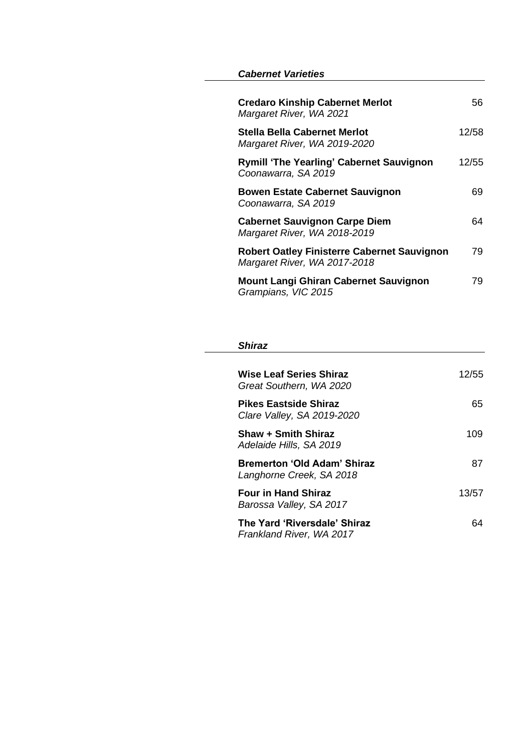#### *Cabernet Varieties*

| <b>Credaro Kinship Cabernet Merlot</b><br>Margaret River, WA 2021                  | 56.   |
|------------------------------------------------------------------------------------|-------|
| Stella Bella Cabernet Merlot<br>Margaret River, WA 2019-2020                       | 12/58 |
| <b>Rymill 'The Yearling' Cabernet Sauvignon</b><br>Coonawarra, SA 2019             | 12/55 |
| <b>Bowen Estate Cabernet Sauvignon</b><br>Coonawarra, SA 2019                      | 69    |
| <b>Cabernet Sauvignon Carpe Diem</b><br>Margaret River, WA 2018-2019               | 64    |
| <b>Robert Oatley Finisterre Cabernet Sauvignon</b><br>Margaret River, WA 2017-2018 | 79    |
| <b>Mount Langi Ghiran Cabernet Sauvignon</b><br>Grampians, VIC 2015                | 79    |

#### *Shiraz*

| Wise Leaf Series Shiraz<br>Great Southern, WA 2020             | 12/55 |
|----------------------------------------------------------------|-------|
| Pikes Eastside Shiraz<br>Clare Valley, SA 2019-2020            | 65    |
| <b>Shaw + Smith Shiraz</b><br>Adelaide Hills, SA 2019          | 109   |
| <b>Bremerton 'Old Adam' Shiraz</b><br>Langhorne Creek, SA 2018 | 87    |
| <b>Four in Hand Shiraz</b><br>Barossa Valley, SA 2017          | 13/57 |
| The Yard 'Riversdale' Shiraz<br>Frankland River, WA 2017       | 64    |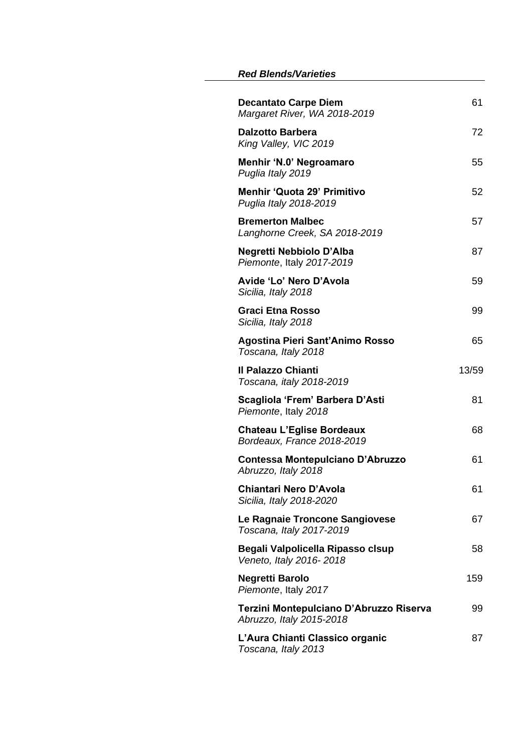#### *Red Blends/Varieties*

| <b>Decantato Carpe Diem</b><br>Margaret River, WA 2018-2019         | 61    |
|---------------------------------------------------------------------|-------|
| <b>Dalzotto Barbera</b><br>King Valley, VIC 2019                    | 72    |
| Menhir 'N.0' Negroamaro<br>Puglia Italy 2019                        | 55    |
| <b>Menhir 'Quota 29' Primitivo</b><br>Puglia Italy 2018-2019        | 52    |
| <b>Bremerton Malbec</b><br>Langhorne Creek, SA 2018-2019            | 57    |
| Negretti Nebbiolo D'Alba<br>Piemonte, Italy 2017-2019               | 87    |
| Avide 'Lo' Nero D'Avola<br>Sicilia, Italy 2018                      | 59    |
| <b>Graci Etna Rosso</b><br>Sicilia, Italy 2018                      | 99    |
| Agostina Pieri Sant'Animo Rosso<br>Toscana, Italy 2018              | 65    |
| Il Palazzo Chianti<br>Toscana, italy 2018-2019                      | 13/59 |
| Scagliola 'Frem' Barbera D'Asti<br>Piemonte, Italy 2018             | 81    |
| <b>Chateau L'Eglise Bordeaux</b><br>Bordeaux, France 2018-2019      | 68    |
| Contessa Montepulciano D'Abruzzo<br>Abruzzo, Italy 2018             | 61    |
| <b>Chiantari Nero D'Avola</b><br>Sicilia, Italy 2018-2020           | 61    |
| Le Ragnaie Troncone Sangiovese<br>Toscana, Italy 2017-2019          | 67    |
| Begali Valpolicella Ripasso clsup<br>Veneto, Italy 2016-2018        | 58    |
| <b>Negretti Barolo</b><br>Piemonte, Italy 2017                      | 159   |
| Terzini Montepulciano D'Abruzzo Riserva<br>Abruzzo, Italy 2015-2018 | 99    |
| L'Aura Chianti Classico organic<br>Toscana, Italy 2013              | 87    |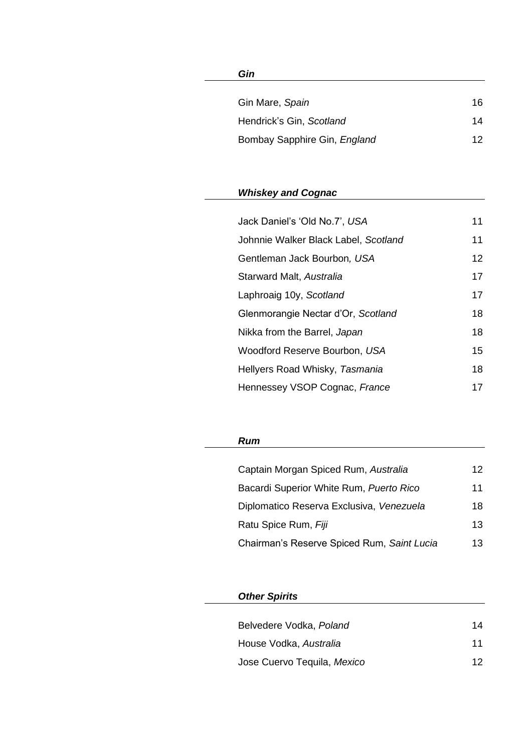## *Gin*

| Gin Mare, Spain              | 16 |
|------------------------------|----|
| Hendrick's Gin, Scotland     | 14 |
| Bombay Sapphire Gin, England | 12 |

# *Whiskey and Cognac*

| Jack Daniel's 'Old No.7', USA        | 11              |
|--------------------------------------|-----------------|
| Johnnie Walker Black Label, Scotland | 11              |
| Gentleman Jack Bourbon, USA          | 12 <sup>°</sup> |
| Starward Malt, Australia             | 17              |
| Laphroaig 10y, Scotland              | 17              |
| Glenmorangie Nectar d'Or, Scotland   | 18              |
| Nikka from the Barrel, Japan         | 18              |
| Woodford Reserve Bourbon, USA        | 15              |
| Hellyers Road Whisky, Tasmania       | 18              |
| Hennessey VSOP Cognac, France        | 17              |

## *Rum*

| Captain Morgan Spiced Rum, Australia       | 12  |
|--------------------------------------------|-----|
| Bacardi Superior White Rum, Puerto Rico    | 11  |
| Diplomatico Reserva Exclusiva, Venezuela   | 18. |
| Ratu Spice Rum, Fiji                       | 13  |
| Chairman's Reserve Spiced Rum, Saint Lucia | 13. |

# *Other Spirits*

| Belvedere Vodka, Poland     | 14 |
|-----------------------------|----|
| House Vodka, Australia      | 11 |
| Jose Cuervo Tequila, Mexico | 12 |